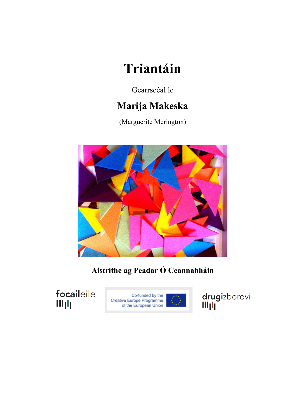# **Triantáin**

Gearrscéal le

# **Marija Makeska**

(Marguerite Merington)



**Aistrithe ag Peadar Ó Ceannabháin**

focaileile Illjlj



drugizborovi<br>Ill<sub>l</sub>ll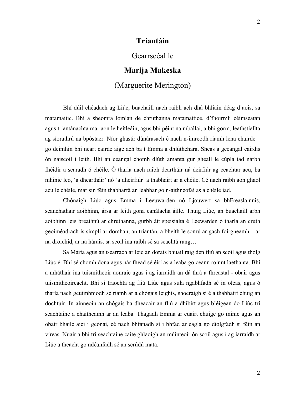## **Triantáin**

#### Gearrscéal le

# **Marija Makeska**

# (Marguerite Merington)

Bhí dúil chéadach ag Liúc, buachaill nach raibh ach dhá bhliain déag d'aois, sa matamaitic. Bhí a sheomra lomlán de chruthanna matamaitice, d'fhoirmlí céimseatan agus triantánachta mar aon le heitleáin, agus bhí péint na mballaí, a bhí gorm, leathstiallta ag síorathrú na bpóstaer. Níor ghasúr dúnárasach é nach n-imreodh riamh lena chairde – go deimhin bhí neart cairde aige ach ba í Emma a dhlúthchara. Sheas a gceangal cairdis ón naíscoil i leith. Bhí an ceangal chomh dlúth amanta gur gheall le cúpla iad nárbh fhéidir a scaradh ó chéile. Ó tharla nach raibh deartháir ná deirfiúr ag ceachtar acu, ba mhinic leo, 'a dheartháir' nó 'a dheirfiúr' a thabhairt ar a chéile. Cé nach raibh aon ghaol acu le chéile, mar sin féin thabharfá an leabhar go n-aithneofaí as a chéile iad.

Chónaigh Liúc agus Emma i Leeuwarden nó Ljouwert sa bhFreaslainnis, seanchathair aoibhinn, ársa ar leith gona canálacha áille. Thuig Liúc, an buachaill arbh aoibhinn leis breathnú ar chruthanna, gurbh áit speisialta é Leewarden ó tharla an cruth geoiméadrach is simplí ar domhan, an triantán, a bheith le sonrú ar gach foirgneamh – ar na droichid, ar na hárais, sa scoil ina raibh sé sa seachtú rang…

Sa Márta agus an t-earrach ar leic an dorais bhuail ráig den fliú an scoil agus tholg Liúc é. Bhí sé chomh dona agus nár fhéad sé éirí as a leaba go ceann roinnt laethanta. Bhí a mháthair ina tuismitheoir aonraic agus í ag iarraidh an dá thrá a fhreastal - obair agus tuismitheoireacht. Bhí sí traochta ag fliú Liúc agus sula ngabhfadh sé in olcas, agus ó tharla nach gcuimhníodh sé riamh ar a chógais leighis, shocraigh sí é a thabhairt chuig an dochtúir. In ainneoin an chógais ba dheacair an fliú a dhíbirt agus b'éigean do Liúc trí seachtaine a chaitheamh ar an leaba. Thagadh Emma ar cuairt chuige go minic agus an obair bhaile aici i gcónaí, cé nach bhfanadh sí i bhfad ar eagla go dtolgfadh sí féin an víreas. Nuair a bhí trí seachtaine caite ghlaoigh an múinteoir ón scoil agus í ag iarraidh ar Liúc a theacht go ndéanfadh sé an scrúdú mata.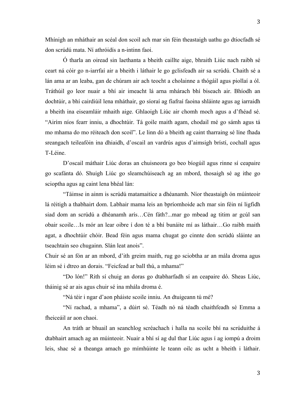Mhínigh an mháthair an scéal don scoil ach mar sin féin theastaigh uathu go dtiocfadh sé don scrúdú mata. Ní athróidís a n-intinn faoi.

Ó tharla an oiread sin laethanta a bheith caillte aige, bhraith Liúc nach raibh sé ceart ná cóir go n-iarrfaí air a bheith i láthair le go gclisfeadh air sa scrúdú. Chaith sé a lán ama ar an leaba, gan de chúram air ach teocht a cholainne a thógáil agus piollaí a ól. Tráthúil go leor nuair a bhí air imeacht lá arna mhárach bhí biseach air. Bhíodh an dochtúir, a bhí cairdiúil lena mháthair, go síoraí ag fiafraí faoina shláinte agus ag iarraidh a bheith ina eiseamláir mhaith aige. Ghlaoigh Liúc air chomh moch agus a d'fhéad sé. "Airím níos fearr inniu, a dhochtúir. Tá goile maith agam, chodail mé go sámh agus tá mo mhama do mo réiteach don scoil". Le linn dó a bheith ag caint tharraing sé líne fhada sreangach teileafóin ina dhiaidh, d'oscail an vardrús agus d'aimsigh brístí, cochall agus T-Léine.

D'oscail máthair Liúc doras an chuisneora go beo bíogúil agus rinne sí ceapaire go scafánta dó. Shuigh Liúc go sleamchúiseach ag an mbord, thosaigh sé ag ithe go scioptha agus ag caint lena bhéal lán:

"Táimse in ainm is scrúdú matamaitice a dhéanamh. Níor theastaigh ón múinteoir lá réitigh a thabhairt dom. Labhair mama leis an bpríomhoide ach mar sin féin ní ligfidh siad dom an scrúdú a dhéanamh arís…Cén fáth?...mar go mbead ag titim ar gcúl san obair scoile…Is mór an lear oibre í don té a bhí bunáite mí as láthair…Go raibh maith agat, a dhochtúir chóir. Bead féin agus mama chugat go cinnte don scrúdú sláinte an tseachtain seo chugainn. Slán leat anois".

Chuir sé an fón ar an mbord, d'ith greim maith, rug go sciobtha ar an mála droma agus léim sé i dtreo an dorais. "Feicfead ar ball thú, a mhama!"

"Do lón!" Rith sí chuig an doras go dtabharfadh sí an ceapaire dó. Sheas Liúc, tháinig sé ar ais agus chuir sé ina mhála droma é.

"Ná téir i ngar d'aon pháiste scoile inniu. An dtuigeann tú mé?

"Ní rachad, a mhama", a dúirt sé. Téadh nó ná téadh chaithfeadh sé Emma a fheiceáil ar aon chaoi.

An tráth ar bhuail an seanchlog scréachach i halla na scoile bhí na scrúduithe á dtabhairt amach ag an múinteoir. Nuair a bhí sí ag dul thar Liúc agus í ag iompú a droim leis, shac sé a theanga amach go mímhúinte le teann oilc as ucht a bheith i láthair.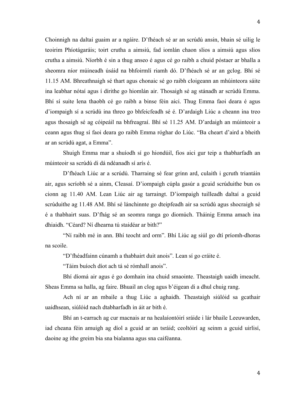Choinnigh na daltaí guaim ar a ngáire. D'fhéach sé ar an scrúdú ansin, bhain sé uilig le teoirim Phíotágaráis; toirt crutha a aimsiú, fad iomlán chaon slios a aimsiú agus slios crutha a aimsiú. Níorbh é sin a thug anseo é agus cé go raibh a chuid póstaer ar bhalla a sheomra níor múineadh úsáid na bhfoirmlí riamh dó. D'fhéach sé ar an gclog. Bhí sé 11.15 AM. Bhreathnaigh sé thart agus chonaic sé go raibh cloigeann an mhúinteora sáite ina leabhar nótaí agus í dírithe go hiomlán air. Thosaigh sé ag stánadh ar scrúdú Emma. Bhí sí suite lena thaobh cé go raibh a binse féin aici. Thug Emma faoi deara é agus d'iompaigh sí a scrúdú ina threo go bhfeicfeadh sé é. D'ardaigh Liúc a cheann ina treo agus thosaigh sé ag cóipeáil na bhfreagraí. Bhí sé 11.25 AM. D'ardaigh an múinteoir a ceann agus thug sí faoi deara go raibh Emma róghar do Liúc. "Ba cheart d'aird a bheith ar an scrúdú agat, a Emma".

Shuigh Emma mar a shuíodh sí go hiondúil, fios aici gur teip a thabharfadh an múinteoir sa scrúdú di dá ndéanadh sí arís é.

D'fhéach Liúc ar a scrúdú. Tharraing sé fear grinn ard, culaith i gcruth triantáin air, agus scríobh sé a ainm, Cleasaí. D'iompaigh cúpla gasúr a gcuid scrúduithe bun os cionn ag 11.40 AM. Lean Liúc air ag tarraingt. D'iompaigh tuilleadh daltaí a gcuid scrúduithe ag 11.48 AM. Bhí sé lánchinnte go dteipfeadh air sa scrúdú agus shocraigh sé é a thabhairt suas. D'fhág sé an seomra ranga go diomúch. Tháinig Emma amach ina dhiaidh. "Céard? Ní dhearna tú staidéar ar bith?"

"Ní raibh mé in ann. Bhí teocht ard orm". Bhí Liúc ag siúl go dtí príomh-dhoras na scoile.

"D'fhéadfainn cúnamh a thabhairt duit anois". Lean sí go cráite é.

"Táim buíoch díot ach tá sé rómhall anois".

Bhí díomá air agus é go domhain ina chuid smaointe. Theastaigh uaidh imeacht. Sheas Emma sa halla, ag faire. Bhuail an clog agus b'éigean di a dhul chuig rang.

Ach ní ar an mbaile a thug Liúc a aghaidh. Theastaigh siúlóid sa gcathair uaidhsean, siúlóid nach dtabharfadh in áit ar bith é.

Bhí an t-earrach ag cur macnais ar na healaíontóirí sráide i lár bhaile Leeuwarden, iad cheana féin amuigh ag díol a gcuid ar an tsráid; ceoltóirí ag seinm a gcuid uirlisí, daoine ag ithe greim bia sna bialanna agus sna caiféanna.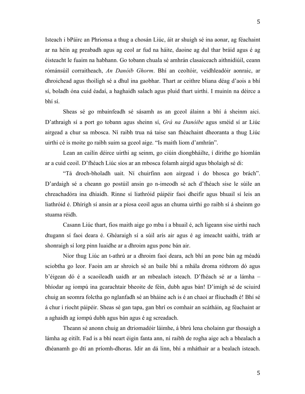Isteach i bPáirc an Phrionsa a thug a chosán Liúc, áit ar shuigh sé ina aonar, ag féachaint ar na héin ag preabadh agus ag ceol ar fud na háite, daoine ag dul thar bráid agus é ag éisteacht le fuaim na habhann. Go tobann chuala sé amhrán clasaiceach aithnidiúil, ceann rómánsúil corraitheach, *An Danóib Ghorm*. Bhí an ceoltóir, veidhleadóir aonraic, ar dhroichead agus thoiligh sé a dhul ina gaobhar. Thart ar ceithre bliana déag d'aois a bhí sí, boladh óna cuid éadaí, a haghaidh salach agus pluid thart uirthi. I muinín na déirce a bhí sí.

Sheas sé go mbainfeadh sé sásamh as an gceol álainn a bhí á sheinm aici. D'athraigh sí a port go tobann agus sheinn sí, *Grá na Danóibe* agus sméid sí ar Liúc airgead a chur sa mbosca. Ní raibh trua ná taise san fhéachaint dheoranta a thug Liúc uirthi cé is moite go raibh suim sa gceol aige. "Is maith liom d'amhrán".

Lean an cailín déirce uirthi ag seinm, go ciúin diongbháilte, í dírithe go hiomlán ar a cuid ceoil. D'fhéach Liúc síos ar an mbosca folamh airgid agus bholaigh sé di:

"Tá droch-bholadh uait. Ní chuirfinn aon airgead i do bhosca go brách". D'ardaigh sé a cheann go postúil ansin go n-imeodh sé ach d'fhéach sise le súile an chreachadóra ina dhiaidh. Rinne sí liathróid páipéir faoi dheifir agus bhuail sí leis an liathróid é. Dhírigh sí ansin ar a píosa ceoil agus an chuma uirthi go raibh sí á sheinm go stuama réidh.

Casann Liúc thart, fios maith aige go mba í a bhuail é, ach ligeann sise uirthi nach dtugann sí faoi deara é. Ghéaraigh sí a súil arís air agus é ag imeacht uaithi, tráth ar shonraigh sí lorg pinn luaidhe ar a dhroim agus ponc bán air.

Níor thug Liúc an t-athrú ar a dhroim faoi deara, ach bhí an ponc bán ag méadú sciobtha go leor. Faoin am ar shroich sé an baile bhí a mhála droma róthrom dó agus b'éigean dó é a scaoileadh uaidh ar an mbealach isteach. D'fhéach sé ar a lámha – bhíodar ag iompú ina gcarachtair bheoite de féin, dubh agus bán! D'imigh sé de sciuird chuig an seomra folctha go nglanfadh sé an bháine ach is é an chaoi ar fliuchadh é! Bhí sé á chur i riocht páipéir. Sheas sé gan tapa, gan bhrí os comhair an scátháin, ag féachaint ar a aghaidh ag iompú dubh agus bán agus é ag screadach.

Theann sé anonn chuig an dtriomadóir láimhe, á bhrú lena cholainn gur thosaigh a lámha ag eitilt. Fad is a bhí neart éigin fanta ann, ní raibh de rogha aige ach a bhealach a dhéanamh go dtí an príomh-dhoras. Idir an dá linn, bhí a mháthair ar a bealach isteach.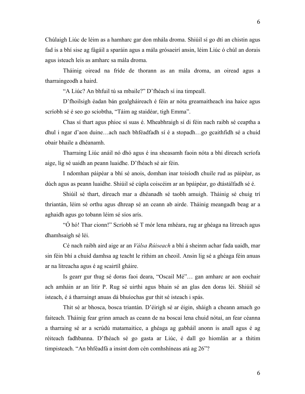Chúlaigh Liúc de léim as a hamharc gar don mhála droma. Shiúil sí go dtí an chistin agus fad is a bhí sise ag fágáil a sparáin agus a mála grósaeirí ansin, léim Liúc ó chúl an dorais agus isteach leis as amharc sa mála droma.

Tháinig oiread na fríde de thorann as an mála droma, an oiread agus a tharraingeodh a haird.

"A Liúc? An bhfuil tú sa mbaile?" D'fhéach sí ina timpeall.

D'fhoilsigh éadan bán gealgháireach é féin ar nóta greamaitheach ina haice agus scríobh sé é seo go sciobtha, "Táim ag staidéar, tigh Emma".

Chas sí thart agus phioc sí suas é. Mheabhraigh sí di féin nach raibh sé ceaptha a dhul i ngar d'aon duine…ach nach bhféadfadh sí é a stopadh…go gcaithfidh sé a chuid obair bhaile a dhéanamh.

Tharraing Liúc anáil nó dhó agus é ina sheasamh faoin nóta a bhí díreach scríofa aige, lig sé uaidh an peann luaidhe. D'fhéach sé air féin.

I ndomhan páipéar a bhí sé anois, domhan inar toisíodh chuile rud as páipéar, as dúch agus as peann luaidhe. Shiúil sé cúpla coiscéim ar an bpáipéar, go dtástálfadh sé é.

Shiúil sé thart, díreach mar a dhéanadh sé taobh amuigh. Tháinig sé chuig trí thriantán, léim sé orthu agus dhreap sé an ceann ab airde. Tháinig meangadh beag ar a aghaidh agus go tobann léim sé síos arís.

"Ó hó! Thar cionn!" Scríobh sé T mór lena mhéara, rug ar ghéaga na litreach agus dhamhsaigh sé léi.

Cé nach raibh aird aige ar an *Válsa Rúiseach* a bhí á sheinm achar fada uaidh, mar sin féin bhí a chuid damhsa ag teacht le rithim an cheoil. Ansin lig sé a ghéaga féin anuas ar na litreacha agus é ag scairtíl gháire.

Is gearr gur thug sé doras faoi deara, "Oscail Mé"… gan amharc ar aon eochair ach amháin ar an litir P. Rug sé uirthi agus bhain sé an glas den doras léi. Shiúil sé isteach, é á tharraingt anuas dá bhuíochas gur thit sé isteach i spás.

Thit sé ar bhosca, bosca triantán. D'éirigh sé ar éigin, sháigh a cheann amach go faiteach. Tháinig fear grinn amach as ceann de na boscaí lena chuid nótaí, an fear céanna a tharraing sé ar a scrúdú matamaitice, a ghéaga ag gabháil anonn is anall agus é ag réiteach fadhbanna. D'fhéach sé go gasta ar Liúc, é dall go hiomlán ar a thitim timpisteach. "An bhféadfá a insint dom cén comhshíneas atá ag 26"?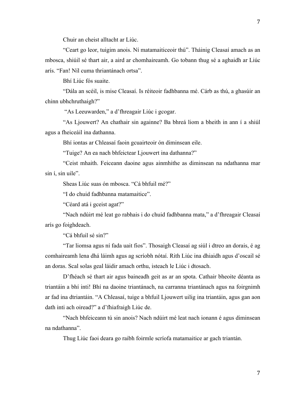Chuir an cheist alltacht ar Liúc.

"Ceart go leor, tuigim anois. Ní matamaiticeoir thú". Tháinig Cleasaí amach as an mbosca, shiúil sé thart air, a aird ar chomhaireamh. Go tobann thug sé a aghaidh ar Liúc arís. "Fan! Níl cuma thriantánach ortsa".

Bhí Liúc fós suaite.

"Dála an scéil, is mise Cleasaí. Is réiteoir fadhbanna mé. Cárb as thú, a ghasúir an chinn ubhchruthaigh?"

"As Leeuwarden," a d'fhreagair Liúc i gcogar.

"As Ljouwert? An chathair sin againne? Ba bhreá liom a bheith in ann í a shiúl agus a fheiceáil ina dathanna.

Bhí iontas ar Chleasaí faoin gcuairteoir ón diminsean eile.

"Tuige? An ea nach bhfeictear Ljouwert ina dathanna?"

"Ceist mhaith. Feiceann daoine agus ainmhithe as diminsean na ndathanna mar sin í, sin uile".

Sheas Liúc suas ón mbosca. "Cá bhfuil mé?"

"I do chuid fadhbanna matamaitice".

"Céard atá i gceist agat?"

"Nach ndúirt mé leat go rabhais i do chuid fadhbanna mata," a d'fhreagair Cleasaí arís go foighdeach.

"Cá bhfuil sé sin?"

"Tar liomsa agus ní fada uait fios". Thosaigh Cleasaí ag siúl i dtreo an dorais, é ag comhaireamh lena dhá láimh agus ag scríobh nótaí. Rith Liúc ina dhiaidh agus d'oscail sé an doras. Scal solas geal láidir amach orthu, isteach le Liúc i dtosach.

D'fhéach sé thart air agus baineadh geit as ar an spota. Cathair bheoite déanta as triantáin a bhí inti! Bhí na daoine triantánach, na carranna triantánach agus na foirgnimh ar fad ina dtriantáin. "A Chleasaí, tuige a bhfuil Ljouwert uilig ina triantáin, agus gan aon dath inti ach oiread?" a d'fhiafraigh Liúc de.

"Nach bhfeiceann tú sin anois? Nach ndúirt mé leat nach ionann é agus diminsean na ndathanna".

Thug Liúc faoi deara go raibh foirmle scríofa matamaitice ar gach triantán.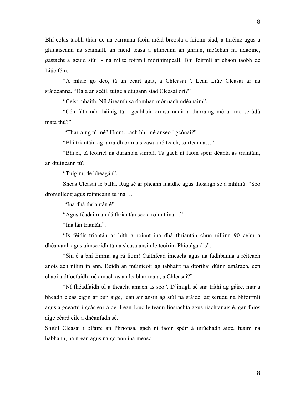Bhí eolas taobh thiar de na carranna faoin méid breosla a ídíonn siad, a thréine agus a ghluaiseann na scamaill, an méid teasa a ghineann an ghrian, meáchan na ndaoine, gastacht a gcuid siúil - na mílte foirmlí mórthimpeall. Bhí foirmlí ar chaon taobh de Liúc féin.

"A mhac go deo, tá an ceart agat, a Chleasaí!". Lean Liúc Cleasaí ar na sráideanna. "Dála an scéil, tuige a dtugann siad Cleasaí ort?"

"Ceist mhaith. Níl áireamh sa domhan mór nach ndéanaim".

"Cén fáth nár tháinig tú i gcabhair ormsa nuair a tharraing mé ar mo scrúdú mata thú?"

"Tharraing tú mé? Hmm…ach bhí mé anseo i gcónaí?"

"Bhí triantáin ag iarraidh orm a sleasa a réiteach, toirteanna…"

"Bhuel, tá teoiricí na dtriantán simplí. Tá gach ní faoin spéir déanta as triantáin, an dtuigeann tú?

"Tuigim, de bheagán".

Sheas Cleasaí le balla. Rug sé ar pheann luaidhe agus thosaigh sé á mhíniú. "Seo dronuilleog agus roinneann tú ina …

"Ina dhá thriantán é".

"Agus féadaim an dá thriantán seo a roinnt ina…"

"Ina lán triantán".

"Is féidir triantán ar bith a roinnt ina dhá thriantán chun uillinn 90 céim a dhéanamh agus aimseoidh tú na sleasa ansin le teoirim Phíotágaráis".

"Sin é a bhí Emma ag rá liom! Caithfead imeacht agus na fadhbanna a réiteach anois ach nílim in ann. Beidh an múinteoir ag tabhairt na dtorthaí dúinn amárach, cén chaoi a dtiocfaidh mé amach as an leabhar mata, a Chleasaí?"

"Ní fhéadfaidh tú a theacht amach as seo". D'imigh sé sna tríthí ag gáire, mar a bheadh cleas éigin ar bun aige, lean air ansin ag siúl na sráide, ag scrúdú na bhfoirmlí agus á gceartú i gcás earráide. Lean Liúc le teann fiosrachta agus riachtanais é, gan fhios aige céard eile a dhéanfadh sé.

Shiúil Cleasaí i bPáirc an Phrionsa, gach ní faoin spéir á iniúchadh aige, fuaim na habhann, na n-éan agus na gcrann ina measc.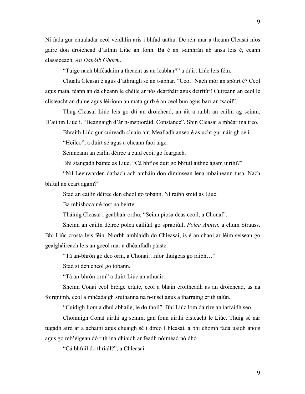Ní fada gur chualadar ceol veidhlín arís i bhfad uathu. De réir mar a theann Cleasaí níos gaire don droichead d'aithin Liúc an fonn. Ba é an t-amhrán ab ansa leis é, ceann clasaiceach, *An Danóib Ghorm*.

"Tuige nach bhféadaim a theacht as an leabhar?" a dúirt Liúc leis féin.

Chuala Cleasaí é agus d'athraigh sé an t-ábhar. "Ceol! Nach mór an spóirt é? Ceol agus mata, téann an dá cheann le chéile ar nós deartháir agus deirfiúr! Cuireann an ceol le clisteacht an duine agus léiríonn an mata gurb é an ceol bun agus barr an tsaoil".

Thug Cleasaí Liúc leis go dtí an droichead, an áit a raibh an cailín ag seinm. D'aithin Liúc í. "Beannaigh d'ár n-inspioráid, Constance". Shín Cleasaí a mhéar ina treo.

Bhraith Liúc gur cuireadh cluain air. Mealladh anseo é as ucht gur náirigh sé í.

"Heileo", a dúirt sé agus a cheann faoi aige.

Seinneann an cailín déirce a cuid ceoil go feargach.

Bhí stangadh bainte as Liúc, "Cá bhfios duit go bhfuil aithne agam uirthi?"

"Níl Leeuwarden dathach ach amháin don diminsean lena mbaineann tusa. Nach bhfuil an ceart agam?"

Stad an cailín déirce den cheol go tobann. Ní raibh smid as Liúc.

Ba mhíshocair é tost na beirte.

Tháinig Cleasaí i gcabhair orthu, "Seinn píosa deas ceoil, a Chonaí".

Sheinn an cailín déirce polca cáiliúil go spraoiúil, *Polca Annen,* a chum Strauss.

Bhí Liúc crosta leis féin. Níorbh amhlaidh do Chleasaí, is é an chaoi ar léim seisean go gealgháireach leis an gceol mar a dhéanfadh páiste.

"Tá an-bhrón go deo orm, a Chonaí…níor thuigeas go raibh…"

Stad sí den cheol go tobann.

"Tá an-bhrón orm" a dúirt Liúc an athuair.

Sheinn Conaí ceol bréige cráite, ceol a bhain croitheadh as an droichead, as na foirgnimh, ceol a mhéadaigh sruthanna na n-uiscí agus a tharraing crith talún.

"Cuidigh liom a dhul abhaile, le do thoil". Bhí Liúc lom dáiríre an iarraidh seo.

Choinnigh Conaí uirthi ag seinm, gan fonn uirthi éisteacht le Liúc. Thuig sé nár tugadh aird ar a achainí agus chuaigh sé i dtreo Chleasaí, a bhí chomh fada uaidh anois agus go mb'éigean dó rith ina dhiaidh ar feadh nóiméad nó dhó.

"Cá bhfuil do thriall?", a Chleasaí.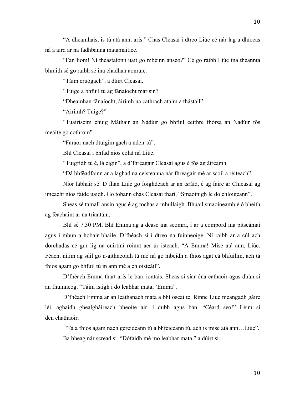"A dheamhais, is tú atá ann, arís." Chas Cleasaí i dtreo Liúc cé nár lag a dhíocas ná a aird ar na fadhbanna matamaitice.

"Fan liom! Ní theastaíonn uait go mbeinn anseo?" Cé go raibh Liúc ina theannta bhraith sé go raibh sé ina chadhan aonraic.

"Táim cruógach", a dúirt Cleasaí.

"Tuige a bhfuil tú ag fánaíocht mar sin?

"Dheamhan fánaíocht, áirimh na cathrach atáim a thástáil".

"Áirimh? Tuige?"

"Tuairiscím chuig Máthair an Nádúir go bhfuil ceithre fhórsa an Nádúir fós meáite go cothrom".

"Faraor nach dtuigim gach a ndeir tú".

Bhí Cleasaí i bhfad níos eolaí ná Liúc.

"Tuigfidh tú é, lá éigin", a d'fhreagair Cleasaí agus é fós ag áireamh.

"Dá bhféadfainn ar a laghad na ceisteanna nár fhreagair mé ar scoil a réiteach".

Níor labhair sé. D'fhan Liúc go foighdeach ar an tsráid, é ag faire ar Chleasaí ag imeacht níos faide uaidh. Go tobann chas Cleasaí thart, "Smaoinigh le do chloigeann".

Sheas sé tamall ansin agus é ag tochas a mhullaigh. Bhuail smaoineamh é ó bheith ag féachaint ar na triantáin.

Bhí sé 7.30 PM. Bhí Emma ag a deasc ina seomra, í ar a compord ina pitseámaí agus i mbun a hobair bhaile. D'fhéach sí i dtreo na fuinneoige. Ní raibh ar a cúl ach dorchadas cé gur lig na cuirtíní roinnt aer úr isteach. "A Emma! Mise atá ann, Liúc. Féach, nílim ag súil go n-aithneoidh tú mé ná go mbeidh a fhios agat cá bhfuilim, ach tá fhios agam go bhfuil tú in ann mé a chloisteáil".

D'fhéach Emma thart arís le barr iontais. Sheas sí siar óna cathaoir agus dhún sí an fhuinneog. "Táim istigh i do leabhar mata, 'Emma".

D'fhéach Emma ar an leathanach mata a bhí oscailte. Rinne Liúc meangadh gáire léi, aghaidh ghealgháireach bheoite air, í dubh agus bán. "Céard seo!" Léim sí den chathaoir.

"Tá a fhios agam nach gcreideann tú a bhfeiceann tú, ach is mise atá ann…Liúc". Ba bheag nár scread sí. "Dófaidh mé mo leabhar mata," a dúirt sí.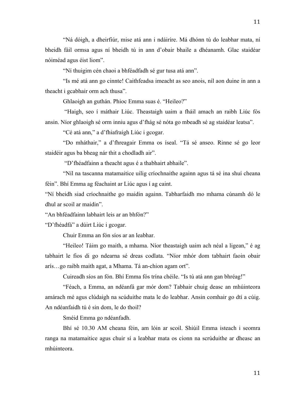"Ná dóigh, a dheirfiúr, mise atá ann i ndáiríre. Má dhónn tú do leabhar mata, ní bheidh fáil ormsa agus ní bheidh tú in ann d'obair bhaile a dhéanamh. Glac staidéar nóiméad agus éist liom".

"Ní thuigim cén chaoi a bhféadfadh sé gur tusa atá ann".

"Is mé atá ann go cinnte! Caithfeadsa imeacht as seo anois, níl aon duine in ann a theacht i gcabhair orm ach thusa".

Ghlaoigh an guthán. Phioc Emma suas é. "Heileo?"

"Haigh, seo í máthair Liúc. Theastaigh uaim a fháil amach an raibh Liúc fós ansin. Níor ghlaoigh sé orm inniu agus d'fhág sé nóta go mbeadh sé ag staidéar leatsa".

"Cé atá ann," a d'fhiafraigh Liúc i gcogar.

"Do mháthair," a d'fhreagair Emma os íseal. "Tá sé anseo. Rinne sé go leor staidéir agus ba bheag nár thit a chodladh air".

"D'fhéadfainn a theacht agus é a thabhairt abhaile".

"Níl na tascanna matamaitice uilig críochnaithe againn agus tá sé ina shuí cheana féin". Bhí Emma ag féachaint ar Liúc agus í ag caint.

"Ní bheidh siad críochnaithe go maidin againn. Tabharfaidh mo mhama cúnamh dó le dhul ar scoil ar maidin".

"An bhféadfainn labhairt leis ar an bhfón?"

"D'fhéadfá" a dúirt Liúc i gcogar.

Chuir Emma an fón síos ar an leabhar.

"Heileo! Táim go maith, a mhama. Níor theastaigh uaim ach néal a ligean," é ag tabhairt le fios di go ndearna sé dreas codlata. "Níor mhór dom tabhairt faoin obair arís…go raibh maith agat, a Mhama. Tá an-chion agam ort".

Cuireadh síos an fón. Bhí Emma fós trína chéile. "Is tú atá ann gan bhréag!"

"Féach, a Emma, an ndéanfá gar mór dom? Tabhair chuig deasc an mhúinteora amárach mé agus clúdaigh na scúduithe mata le do leabhar. Ansin comhair go dtí a cúig. An ndéanfaidh tú é sin dom, le do thoil?

Sméid Emma go ndéanfadh.

Bhí sé 10.30 AM cheana féin, am lóin ar scoil. Shiúil Emma isteach i seomra ranga na matamaitice agus chuir sí a leabhar mata os cionn na scrúduithe ar dheasc an mhúinteora.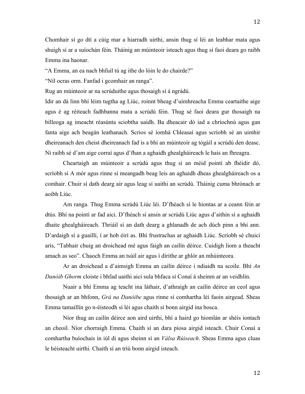Chomhair sí go dtí a cúig mar a hiarradh uirthi, ansin thug sí léi an leabhar mata agus shuigh sí ar a suíochán féin. Tháinig an múinteoir isteach agus thug sí faoi deara go raibh Emma ina haonar.

"A Emma, an ea nach bhfuil tú ag ithe do lóin le do chairde?"

"Níl ocras orm. Fanfad i gcomhair an ranga".

Rug an múinteoir ar na scrúduithe agus thosaigh sí á ngrádú.

Idir an dá linn bhí léim tugtha ag Liúc, roinnt bheag d'uimhreacha Emma ceartaithe aige agus é ag réiteach fadhbanna mata a scrúdú féin. Thug sé faoi deara gur thosaigh na billeoga ag imeacht réasúnta sciobtha uaidh. Ba dheacair dó iad a chríochnú agus gan fanta aige ach beagán leathanach. Scrios sé íomhá Chleasaí agus scríobh sé an uimhir dheireanach den cheist dheireanach fad is a bhí an múinteoir ag tógáil a scrúdú den deasc. Ní raibh sé d'am aige corraí agus d'fhan a aghaidh ghealgháireach le hais an fhreagra.

Cheartaigh an múinteoir a scrúdú agus thug sí an méid pointí ab fhéidir dó, scríobh sí A mór agus rinne sí meangadh beag leis an aghaidh dheas ghealgháireach os a comhair. Chuir sí dath dearg air agus leag sí uaithi an scrúdú. Tháinig cuma bhrónach ar aoibh Liúc.

Am ranga. Thug Emma scrúdú Liúc léi. D'fhéach sí le hiontas ar a ceann féin ar dtús. Bhí na pointí ar fad aici. D'fhéach sí ansin ar scrúdú Liúc agus d'aithin sí a aghaidh dhaite ghealgháireach. Thriáil sí an dath dearg a ghlanadh de ach dúch pinn a bhí ann. D'ardaigh sí a guaillí, í ar hob éirí as. Bhí frustrachas ar aghaidh Liúc. Scríobh sé chuici arís, "Tabhair chuig an droichead mé agus faigh an cailín déirce. Cuidigh liom a theacht amach as seo". Chaoch Emma an tsúil air agus í dírithe ar ghlór an mhúinteora.

Ar an droichead a d'aimsigh Emma an cailín déirce i ndiaidh na scoile. Bhí *An Danóib Ghorm* cloiste i bhfad uaithi aici sula bhfaca sí Conaí á sheinm ar an veidhlín.

Nuair a bhí Emma ag teacht ina láthair, d'athraigh an cailín déirce an ceol agus thosaigh ar an bhfonn, *Grá na Danóibe* agus rinne sí comhartha léi faoin airgead. Sheas Emma tamaillín go n-éisteodh sí léi agus chaith sí bonn airgid ina bosca.

Níor thug an cailín déirce aon aird uirthi, bhí a haird go hiomlán ar shéis iontach an cheoil. Níor chorraigh Emma. Chaith sí an dara píosa airgid isteach. Chuir Conaí a comhartha buíochais in iúl di agus sheinn sí an *Válsa Rúiseach*. Sheas Emma agus cluas le héisteacht uirthi. Chaith sí an tríú bonn airgid isteach.